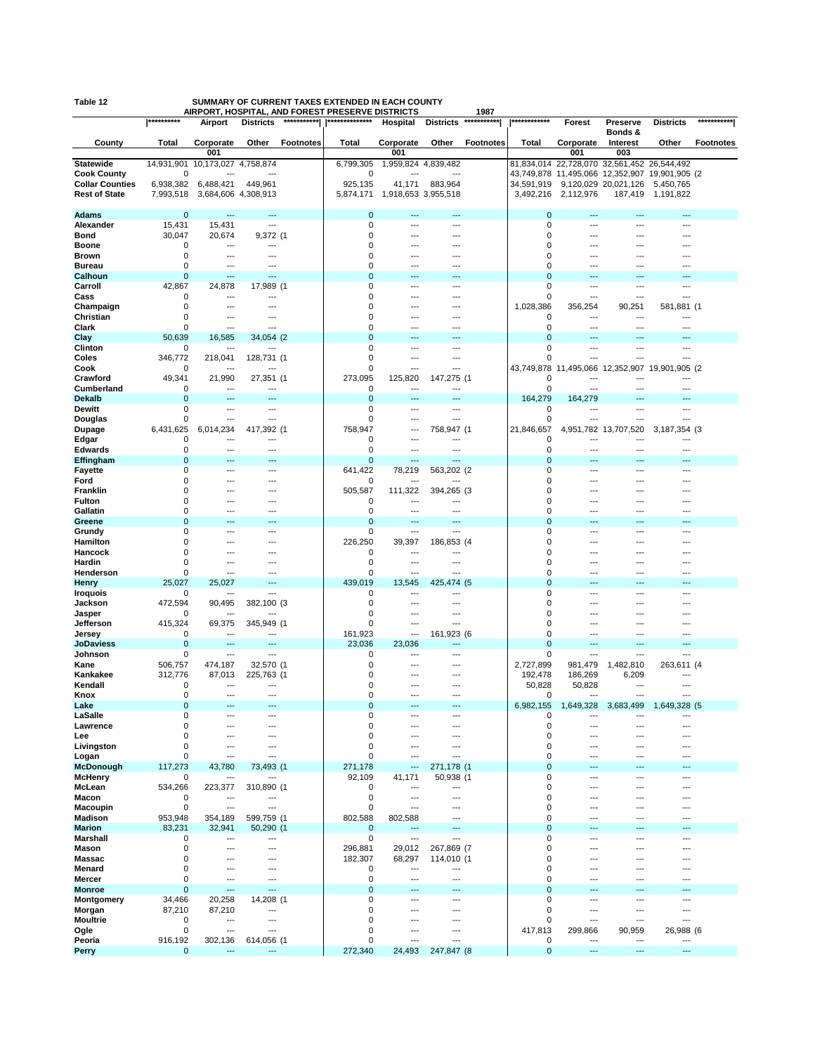|                            | **********                 |                                            | AIRPORT, HOSPITAL, AND FOREST PRESERVE DISTRICTS<br>*********** | **************         |                |                     | 1987<br>*********** | ************               |                                             |                      |                                     | *********** |
|----------------------------|----------------------------|--------------------------------------------|-----------------------------------------------------------------|------------------------|----------------|---------------------|---------------------|----------------------------|---------------------------------------------|----------------------|-------------------------------------|-------------|
|                            |                            | Airport                                    | <b>Districts</b>                                                |                        | Hospital       | <b>Districts</b>    |                     |                            | Forest                                      | Preserve<br>Bonds &  | <b>Districts</b>                    |             |
| County                     | Total                      | Corporate                                  | Other<br><b>Footnotes</b>                                       | Total                  | Corporate      | Other               | <b>Footnotes</b>    | Total                      | Corporate                                   | Interest             | Other                               | Footnotes   |
|                            |                            | 001                                        |                                                                 |                        | 001            |                     |                     |                            | 001                                         | 003                  |                                     |             |
| <b>Statewide</b>           | 14,931,901                 | 10,173,027 4,758,874                       |                                                                 | 6,799,305              |                | 1,959,824 4,839,482 |                     |                            | 81,834,014 22,728,070 32,561,452 26,544,492 |                      |                                     |             |
| <b>Cook County</b>         | $\mathbf 0$                |                                            | ---                                                             | 0                      |                |                     |                     | 43,749,878                 |                                             |                      | 11,495,066 12,352,907 19,901,905 (2 |             |
| <b>Collar Counties</b>     | 6,938,382                  | 6,488,421                                  | 449,961                                                         | 925,135                | 41,171         | 883,964             |                     | 34,591,919                 |                                             | 9,120,029 20,021,126 | 5,450,765                           |             |
| <b>Rest of State</b>       | 7,993,518                  | 3,684,606 4,308,913                        |                                                                 | 5,874,171              |                | 1,918,653 3,955,518 |                     | 3,492,216                  | 2,112,976                                   | 187,419              | 1,191,822                           |             |
| <b>Adams</b>               | $\mathbf 0$                | ---                                        | ---                                                             | $\mathbf 0$            | ---            | ---                 |                     | $\mathbf 0$                | ---                                         |                      | ---                                 |             |
| Alexander                  | 15,431                     | 15,431                                     | ---                                                             | 0                      | ---            | ---                 |                     | 0                          | ---                                         |                      | ---                                 |             |
| Bond                       | 30,047                     | 20,674                                     | 9,372 (1                                                        | 0                      |                | ---                 |                     | 0                          | ---                                         |                      | ---                                 |             |
| <b>Boone</b>               | 0                          | ---                                        | ---                                                             | $\Omega$<br>$\Omega$   |                | ---                 |                     | $\Omega$<br>$\Omega$       |                                             |                      |                                     |             |
| Brown<br><b>Bureau</b>     | $\mathbf 0$<br>$\mathbf 0$ | ---<br>$---$                               | ---<br>---                                                      | 0                      | ---<br>---     | ---<br>---          |                     | 0                          | ---<br>---                                  |                      |                                     |             |
| Calhoun                    | $\mathbf 0$                | $---$                                      | ---                                                             | $\mathbf 0$            | ---            | ---                 |                     | $\mathbf{0}$               | ---                                         | $---$                | ---                                 |             |
| Carroll                    | 42,867                     | 24,878                                     | 17,989 (1                                                       | 0                      | ---            | ---                 |                     | 0                          | ---                                         | $---$                | ---                                 |             |
| Cass                       | 0                          | ---                                        | ---                                                             | 0                      | ---            | ---                 |                     | 0                          | ---                                         | ---                  | ---                                 |             |
| Champaign<br>Christian     | 0<br>$\mathbf 0$           | ---<br>---                                 | ---<br>---                                                      | 0<br>0                 |                | ---                 |                     | 1,028,386<br>0             | 356,254<br>---                              | 90,251               | 581,881 (1                          |             |
| Clark                      | 0                          | $\overline{a}$                             | ---                                                             | 0                      | ---            | ---                 |                     | 0                          | ---                                         | ---                  | ---                                 |             |
| Clay                       | 50,639                     | 16,585                                     | 34,054 (2)                                                      | $\mathbf 0$            |                | ---                 |                     | $\overline{0}$             | ---                                         |                      |                                     |             |
| Clinton                    | $\mathbf 0$                | ---                                        | ---                                                             | $\mathbf 0$            | ---            | ---                 |                     | $\mathbf 0$                | ---                                         | ---                  | ---                                 |             |
| Coles                      | 346,772                    | 218,041                                    | 128,731 (1                                                      | 0                      | ---<br>---     | ---<br>---          |                     | $\Omega$                   | $\overline{a}$                              | ---                  | ---                                 |             |
| Cook<br>Crawford           | 0<br>49,341                | ---<br>21,990                              | 27,351 (1                                                       | 0<br>273,095           | 125,820        | 147,275 (1          |                     | 43,749,878<br>0            | 11,495,066<br>---                           | 12,352,907           | 19,901,905 (2<br>---                |             |
| Cumberland                 | 0                          | ---                                        | ---                                                             | 0                      | ---            | ---                 |                     | 0                          | $\overline{\phantom{a}}$                    |                      | ---                                 |             |
| <b>Dekalb</b>              | 0                          |                                            |                                                                 | 0                      |                | ---                 |                     | 164,279                    | 164,279                                     |                      |                                     |             |
| Dewitt                     | $\mathbf 0$                | ---                                        | ---                                                             | 0                      | ---            | ---                 |                     | 0                          | ---                                         |                      | ---                                 |             |
| Douglas                    | 0                          | ---                                        | ---                                                             | 0                      | ---            | ---                 |                     | 0                          | $\overline{a}$                              | $\overline{a}$       | ---                                 |             |
| Dupage<br>Edgar            | 6,431,625<br>$\mathbf 0$   | 6,014,234<br>$---$                         | 417,392 (1<br>---                                               | 758,947<br>0           | ---<br>---     | 758,947 (1<br>---   |                     | 21,846,657<br>0            | 4,951,782<br>---                            | 13,707,520<br>$---$  | 3, 187, 354 (3)<br>---              |             |
| <b>Edwards</b>             | 0                          | $---$                                      | ---                                                             | 0                      | ---            | ---                 |                     | 0                          | ---                                         | ---                  | ---                                 |             |
| Effingham                  | $\mathbf 0$                | $---$                                      | $---$                                                           | $\mathbf 0$            | ---            | ---                 |                     | $\mathbf 0$                | ---                                         |                      | ---                                 |             |
| Fayette                    | 0                          | $---$                                      | ---                                                             | 641,422                | 78,219         | 563,202 (2          |                     | 0                          | $\overline{\phantom{a}}$                    | ---                  | ---                                 |             |
| Ford<br><b>Franklin</b>    | 0<br>0                     | $\overline{\phantom{a}}$<br>$\overline{a}$ | ---                                                             | 0<br>505,587           | ---<br>111,322 | 394,265 (3          |                     | 0<br>$\Omega$              | ---<br>---                                  |                      |                                     |             |
| Fulton                     | 0                          | ---                                        | --                                                              | 0                      | ---            | ---                 |                     | 0                          | ---                                         |                      |                                     |             |
| Gallatin                   | 0                          | ---                                        | ---                                                             | 0                      | ---            | ---                 |                     | 0                          | ---                                         | ---                  | ---                                 |             |
| Greene                     | $\mathbf 0$<br>$\mathbf 0$ | $---$<br>---                               | ---<br>---                                                      | $\mathbf 0$<br>0       | ---<br>---     | ---<br>---          |                     | $\mathbf{0}$<br>0          | ---<br>---                                  | ---                  | ---                                 |             |
| Grundy<br>Hamilton         | 0                          | $---$                                      | ---                                                             | 226,250                | 39,397         | 186,853 (4          |                     | 0                          | ---                                         |                      | ---                                 |             |
| Hancock                    | 0                          | $---$                                      | ---                                                             | 0                      | ---            | ---                 |                     | 0                          | ---                                         |                      |                                     |             |
| Hardin                     | $\mathbf 0$                | $\overline{\phantom{a}}$                   |                                                                 | 0                      | ---            | ---                 |                     | 0                          | ---                                         |                      |                                     |             |
| Henderson                  | 0<br>25,027                | ---<br>25,027                              | ---                                                             | $\mathbf 0$<br>439,019 | ---<br>13,545  | ---                 |                     | 0<br>$\mathbf 0$           | ---                                         |                      | ---                                 |             |
| Henry<br><b>Iroquois</b>   | 0                          | ---                                        | ---                                                             | 0                      | ---            | 425,474 (5<br>---   |                     | 0                          | ---<br>---                                  |                      | ---                                 |             |
| Jackson                    | 472,594                    | 90,495                                     | 382,100 (3                                                      | 0                      | ---            | ---                 |                     | 0                          | ---                                         | ---                  | ---                                 |             |
| Jasper                     | 0                          | $---$                                      | ---                                                             | 0                      | ---            | ---                 |                     | 0                          | ---                                         | ---                  |                                     |             |
| Jefferson                  | 415,324<br>0               | 69,375<br>$---$                            | 345,949 (1<br>---                                               | 0<br>161,923           | ---<br>---     | ---<br>161,923 (6   |                     | 0<br>0                     | $---$<br>---                                | ---<br>$- - -$       | ---                                 |             |
| Jersey<br><b>JoDaviess</b> | 0                          | $\overline{a}$                             | ---                                                             | 23,036                 | 23,036         | ---                 |                     | $\mathbf 0$                | ---                                         |                      |                                     |             |
| Johnson                    | 0                          | $\overline{\phantom{a}}$                   | ---                                                             | 0                      |                | ---                 |                     | 0                          | ---                                         | ---                  |                                     |             |
| Kane                       | 506,757                    | 474,187                                    | 32,570 (1                                                       | 0                      |                | ---                 |                     | 2,727,899                  | 981,479                                     | 1,482,810            | 263,611 (4                          |             |
| Kankakee<br>Kendall        | 312,776                    | 87,013                                     | 225,763 (1                                                      | 0                      |                | ---                 |                     | 192,478                    | 186,269                                     | 6,209                | ---                                 |             |
| Knox                       | 0<br>$\mathbf 0$           | ---                                        | ---<br>---                                                      | 0<br>0                 | ---            | ---<br>---          |                     | 50,828<br>0                | 50,828<br>$---$                             | ---<br>---           | ---<br>---                          |             |
| Lake                       | $\Omega$                   |                                            |                                                                 | $\overline{0}$         |                |                     |                     | 6,982,155                  | 1,649,328                                   | 499<br>3.683.        | ,328<br>1,649                       |             |
| LaSalle                    | 0                          | $---$                                      | ---                                                             | 0                      |                | ---                 |                     | 0                          | ---                                         | ---                  | ---                                 |             |
| Lawrence<br>Lee            | 0<br>$\mathbf 0$           | ---<br>---                                 | ---                                                             | 0<br>0                 | ---            | ---<br>---          |                     | 0<br>0                     | ---                                         | $---$                | ---<br>---                          |             |
| Livingston                 | 0                          | ---                                        | ---                                                             | 0                      |                | ---                 |                     | 0                          | ---                                         | ---                  | ---                                 |             |
| Logan                      | 0                          | $\overline{\phantom{a}}$                   | ---                                                             | $\mathbf 0$            | ---            | ---                 |                     | 0                          | ---                                         | ---                  | ---                                 |             |
| <b>McDonough</b>           | 117,273                    | 43,780                                     | 73,493 (1                                                       | 271,178                | ---            | 271,178 (1          |                     | $\mathbf 0$                | ---                                         | ---                  | ---                                 |             |
| <b>McHenry</b><br>McLean   | 0<br>534,266               | ---<br>223,377                             | ---<br>310,890 (1                                               | 92,109<br>0            | 41,171<br>---  | 50,938 (1<br>---    |                     | 0<br>$\mathbf 0$           | $---$<br>---                                | $---$<br>---         | ---<br>---                          |             |
| Macon                      | 0                          | ---                                        | ---                                                             | 0                      | ---            | ---                 |                     | 0                          | ---                                         | ---                  | ---                                 |             |
| Macoupin                   | 0                          | ---                                        | ---                                                             | 0                      | ---            | ---                 |                     | 0                          | $---$                                       | ---                  | ---                                 |             |
| <b>Madison</b>             | 953,948                    | 354,189                                    | 599,759 (1                                                      | 802,588                | 802,588        | ---                 |                     | $\mathbf 0$                | ---                                         |                      | ---                                 |             |
| <b>Marion</b><br>Marshall  | 83,231<br>0                | 32,941<br>$\overline{\phantom{a}}$         | 50,290 (1<br>---                                                | 0<br>0                 | ---<br>---     | ---<br>---          |                     | $\mathbf 0$<br>$\mathbf 0$ | ---                                         | ---                  | ---                                 |             |
| Mason                      | 0                          | $\overline{a}$                             | ---                                                             | 296,881                | 29,012         | 267,869 (7          |                     | 0                          | ---                                         |                      | ---                                 |             |
| Massac                     | $\mathbf 0$                | $---$                                      | ---                                                             | 182,307                | 68,297         | 114,010 (1          |                     | $\mathbf 0$                | ---                                         | ---                  | ---                                 |             |
| Menard                     | 0                          | ---                                        | ---                                                             | 0                      | ---            | ---                 |                     | 0                          | ---                                         | ---                  | ---                                 |             |
| Mercer<br><b>Monroe</b>    | $\mathbf 0$<br>$\mathbf 0$ | ---<br>---                                 | ---<br>$---$                                                    | 0<br>$\mathbf 0$       | ---<br>---     | ---<br>---          |                     | 0<br>$\mathbf 0$           | $\overline{\phantom{a}}$<br>---             | $---$<br>$---$       | ---<br>---                          |             |
| Montgomery                 | 34,466                     | 20,258                                     | 14,208 (1                                                       | 0                      |                | ---                 |                     | 0                          | ---                                         |                      |                                     |             |
| Morgan                     | 87,210                     | 87,210                                     | ---                                                             | 0                      | ---            | ---                 |                     | 0                          | ---                                         | ---                  | ---                                 |             |
| <b>Moultrie</b>            | 0                          | ---                                        | ---                                                             | $\mathbf 0$            |                | ---                 |                     | 0                          | ---                                         | ---                  | ---                                 |             |
| Ogle<br>Peoria             | $\mathbf 0$<br>916,192     | $\overline{a}$<br>302,136                  | ---<br>614,056 (1                                               | 0<br>0                 | ---<br>---     | ---<br>---          |                     | 417,813<br>0               | 299,866<br>---                              | 90,959<br>---        | 26,988 (6<br>---                    |             |
| Perry                      | $\mathbf 0$                | $\overline{\phantom{a}}$                   | ---                                                             | 272,340                | 24,493         | 247,847 (8          |                     | $\mathbf 0$                | ---                                         | $---$                | ---                                 |             |
|                            |                            |                                            |                                                                 |                        |                |                     |                     |                            |                                             |                      |                                     |             |

**Table 12 SUMMARY OF CURRENT TAXES EXTENDED IN EACH COUNTY**